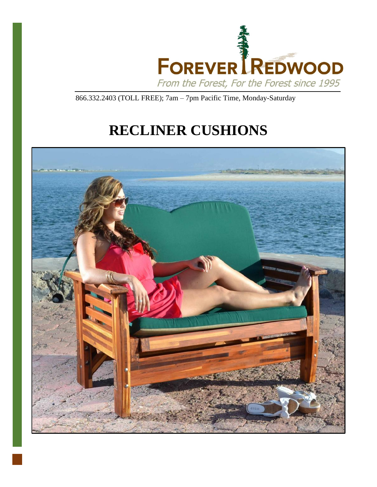

866.332.2403 (TOLL FREE); 7am – 7pm Pacific Time, Monday-Saturday

# **RECLINER CUSHIONS**

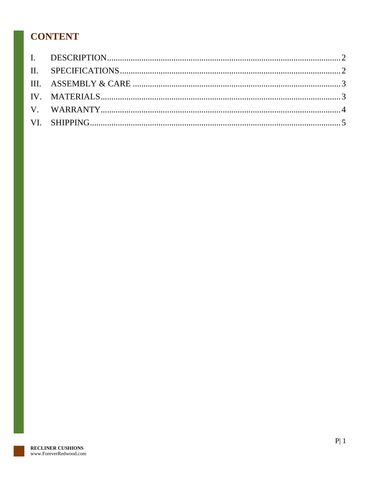## **CONTENT**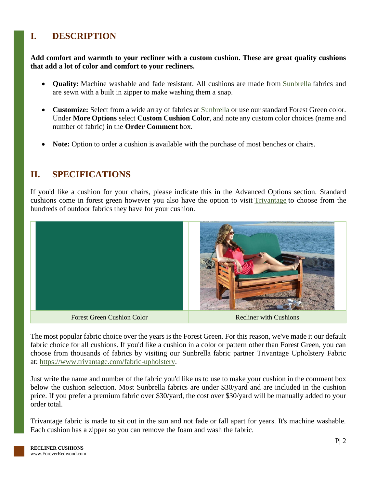## <span id="page-2-0"></span>**I. DESCRIPTION**

**Add comfort and warmth to your recliner with a custom cushion. These are great quality cushions that add a lot of color and comfort to your recliners.**

- **Quality:** Machine washable and fade resistant. All cushions are made from **[Sunbrella](http://www.outdoorfabriccentral.com/)** fabrics and are sewn with a built in zipper to make washing them a snap.
- **Customize:** Select from a wide array of fabrics at **[Sunbrella](http://www.outdoorfabriccentral.com/)** or use our standard Forest Green color. Under **More Options** select **Custom Cushion Color**, and note any custom color choices (name and number of fabric) in the **Order Comment** box.
- **Note:** Option to order a cushion is available with the purchase of most benches or chairs.

#### <span id="page-2-1"></span>**II. SPECIFICATIONS**

If you'd like a cushion for your chairs, please indicate this in the Advanced Options section. Standard cushions come in forest green however you also have the option to visit [Trivantage](https://www.trivantage.com/fabric-upholstery) to choose from the hundreds of outdoor fabrics they have for your cushion.



The most popular fabric choice over the years is the Forest Green. For this reason, we've made it our default fabric choice for all cushions. If you'd like a cushion in a color or pattern other than Forest Green, you can choose from thousands of fabrics by visiting our Sunbrella fabric partner Trivantage Upholstery Fabric at: [https://www.trivantage.com/fabric-upholstery.](https://www.trivantage.com/fabric-upholstery)

Just write the name and number of the fabric you'd like us to use to make your cushion in the comment box below the cushion selection. Most Sunbrella fabrics are under \$30/yard and are included in the cushion price. If you prefer a premium fabric over \$30/yard, the cost over \$30/yard will be manually added to your order total.

Trivantage fabric is made to sit out in the sun and not fade or fall apart for years. It's machine washable. Each cushion has a zipper so you can remove the foam and wash the fabric.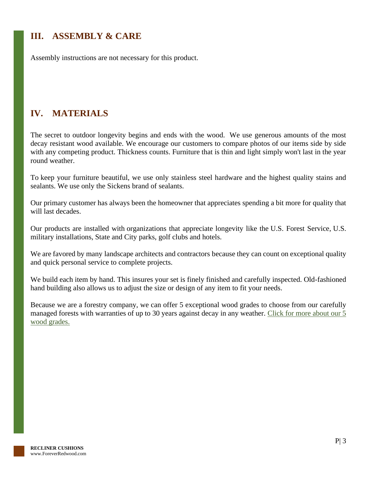## <span id="page-3-0"></span>**III. ASSEMBLY & CARE**

Assembly instructions are not necessary for this product.

### <span id="page-3-1"></span>**IV. MATERIALS**

The secret to outdoor longevity begins and ends with the wood. We use generous amounts of the most decay resistant wood available. We encourage our customers to compare photos of our items side by side with any competing product. Thickness counts. Furniture that is thin and light simply won't last in the year round weather.

To keep your furniture beautiful, we use only stainless steel hardware and the highest quality stains and sealants. We use only the Sickens brand of sealants.

Our primary customer has always been the homeowner that appreciates spending a bit more for quality that will last decades.

Our products are installed with organizations that appreciate longevity like the U.S. Forest Service, U.S. military installations, State and City parks, golf clubs and hotels.

We are favored by many landscape architects and contractors because they can count on exceptional quality and quick personal service to complete projects.

We build each item by hand. This insures your set is finely finished and carefully inspected. Old-fashioned hand building also allows us to adjust the size or design of any item to fit your needs.

Because we are a forestry company, we can offer 5 exceptional wood grades to choose from our carefully managed forests with warranties of up to 30 years against decay in any weather. Click for more about our 5 [wood grades.](https://www.foreverredwood.com/redwood-furniture/wood-grade/)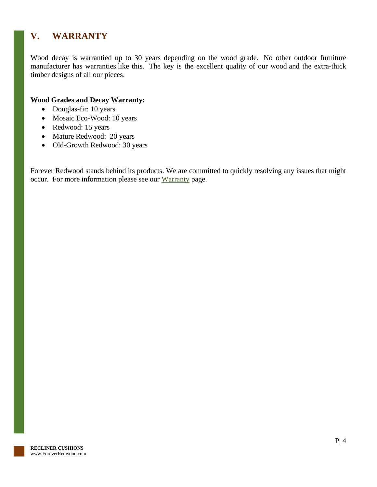### <span id="page-4-0"></span>**V. WARRANTY**

Wood decay is warrantied up to 30 years depending on the wood grade. No other outdoor furniture manufacturer has warranties like this. The key is the excellent quality of our wood and the extra-thick timber designs of all our pieces.

#### **Wood Grades and Decay Warranty:**

- Douglas-fir: 10 years
- Mosaic Eco-Wood: 10 years
- Redwood: 15 years
- Mature Redwood: 20 years
- Old-Growth Redwood: 30 years

Forever Redwood stands behind its products. We are committed to quickly resolving any issues that might occur. For more information please see our [Warranty](https://www.foreverredwood.com/redwood-furniture/warranty) page.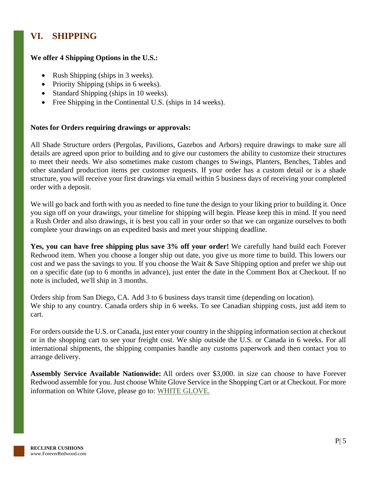## <span id="page-5-0"></span>**VI. SHIPPING**

#### **We offer 4 Shipping Options in the U.S.:**

- Rush Shipping (ships in 3 weeks).
- Priority Shipping (ships in 6 weeks).
- Standard Shipping (ships in 10 weeks).
- Free Shipping in the Continental U.S. (ships in 14 weeks).

#### **Notes for Orders requiring drawings or approvals:**

All Shade Structure orders (Pergolas, Pavilions, Gazebos and Arbors) require drawings to make sure all details are agreed upon prior to building and to give our customers the ability to customize their structures to meet their needs. We also sometimes make custom changes to Swings, Planters, Benches, Tables and other standard production items per customer requests. If your order has a custom detail or is a shade structure, you will receive your first drawings via email within 5 business days of receiving your completed order with a deposit.

We will go back and forth with you as needed to fine tune the design to your liking prior to building it. Once you sign off on your drawings, your timeline for shipping will begin. Please keep this in mind. If you need a Rush Order and also drawings, it is best you call in your order so that we can organize ourselves to both complete your drawings on an expedited basis and meet your shipping deadline.

**Yes, you can have free shipping plus save 3% off your order!** We carefully hand build each Forever Redwood item. When you choose a longer ship out date, you give us more time to build. This lowers our cost and we pass the savings to you. If you choose the Wait & Save Shipping option and prefer we ship out on a specific date (up to 6 months in advance), just enter the date in the Comment Box at Checkout. If no note is included, we'll ship in 3 months.

Orders ship from San Diego, CA. Add 3 to 6 business days transit time (depending on location). We ship to any country. Canada orders ship in 6 weeks. To see Canadian shipping costs, just add item to cart.

For orders outside the U.S. or Canada, just enter your country in the shipping information section at checkout or in the shopping cart to see your freight cost. We ship outside the U.S. or Canada in 6 weeks. For all international shipments, the shipping companies handle any customs paperwork and then contact you to arrange delivery.

**Assembly Service Available Nationwide:** All orders over \$3,000. in size can choose to have Forever Redwood assemble for you. Just choose White Glove Service in the Shopping Cart or at Checkout. For more information on White Glove, please go to: [WHITE GLOVE.](https://www.foreverredwood.com/white-glove/)